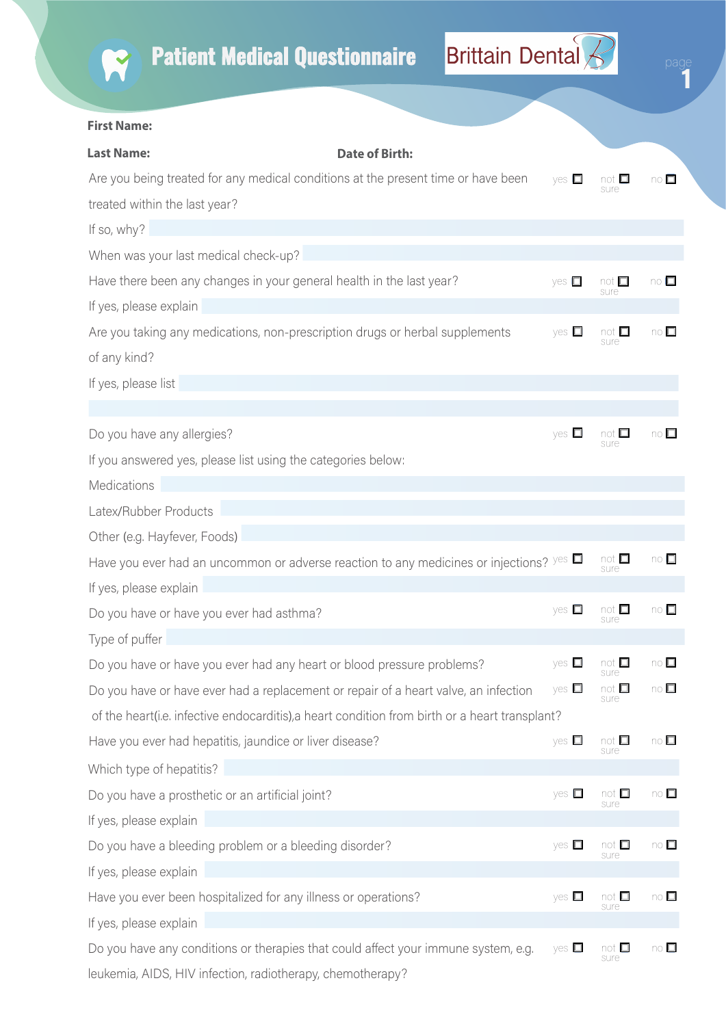

Ï

## **First Name:**

| <b>Last Name:</b>                                                                               | <b>Date of Birth:</b> |                 |                       |                                        |
|-------------------------------------------------------------------------------------------------|-----------------------|-----------------|-----------------------|----------------------------------------|
| Are you being treated for any medical conditions at the present time or have been               |                       | $yes$ $\square$ | sure                  | $\overline{\mathsf{no}}$               |
| treated within the last year?                                                                   |                       |                 |                       |                                        |
| If so, why?                                                                                     |                       |                 |                       |                                        |
| When was your last medical check-up?                                                            |                       |                 |                       |                                        |
| Have there been any changes in your general health in the last year?                            |                       | yes $\square$   | $not \Box$<br>sure    | $\circ$ $\Box$                         |
| If yes, please explain                                                                          |                       |                 |                       |                                        |
| Are you taking any medications, non-prescription drugs or herbal supplements                    |                       | yes $\square$   | not $\square$<br>sure | $\circ$ $\Box$                         |
| of any kind?                                                                                    |                       |                 |                       |                                        |
| If yes, please list                                                                             |                       |                 |                       |                                        |
|                                                                                                 |                       |                 |                       |                                        |
| Do you have any allergies?                                                                      |                       | yes $\square$   | not $\square$<br>sure | $\overline{10}$                        |
| If you answered yes, please list using the categories below:                                    |                       |                 |                       |                                        |
| Medications                                                                                     |                       |                 |                       |                                        |
| Latex/Rubber Products                                                                           |                       |                 |                       |                                        |
| Other (e.g. Hayfever, Foods)                                                                    |                       |                 |                       |                                        |
| Have you ever had an uncommon or adverse reaction to any medicines or injections? $\sqrt{2}$    |                       |                 | not $\square$<br>sure | $\overline{\mathsf{no}}$ $\Box$        |
| If yes, please explain                                                                          |                       |                 |                       |                                        |
| Do you have or have you ever had asthma?                                                        |                       | yes $\square$   | not $\square$<br>sure | $no\square$                            |
| Type of puffer                                                                                  |                       |                 |                       |                                        |
| Do you have or have you ever had any heart or blood pressure problems?                          |                       | yes $\square$   | not $\square$<br>sure | $\circ$ $\Box$                         |
| Do you have or have ever had a replacement or repair of a heart valve, an infection             |                       | yes $\square$   | not □<br>sure         | $no\square$                            |
| of the heart (i.e. infective endocarditis), a heart condition from birth or a heart transplant? |                       |                 |                       |                                        |
| Have you ever had hepatitis, jaundice or liver disease?                                         |                       | yes $\square$   | not □<br>sure         | $\overline{\mathsf{no}}$ $\Box$        |
| Which type of hepatitis?                                                                        |                       |                 |                       |                                        |
| Do you have a prosthetic or an artificial joint?                                                |                       | yes $\square$   | not $\square$<br>sure | $no \Box$                              |
| If yes, please explain                                                                          |                       |                 |                       |                                        |
| Do you have a bleeding problem or a bleeding disorder?                                          |                       | yes $\square$   | not $\square$<br>sure | $\overline{\mathsf{no}}\ \blacksquare$ |
| If yes, please explain                                                                          |                       |                 |                       |                                        |
| Have you ever been hospitalized for any illness or operations?                                  |                       | yes $\square$   | not $\Box$<br>sure    | $\overline{\mathsf{no}}$               |
| If yes, please explain                                                                          |                       |                 |                       |                                        |
| Do you have any conditions or therapies that could affect your immune system, e.g.              |                       | yes $\square$   | not $\square$<br>sure | $\overline{\mathsf{no}}$ $\Box$        |
| leukemia, AIDS, HIV infection, radiotherapy, chemotherapy?                                      |                       |                 |                       |                                        |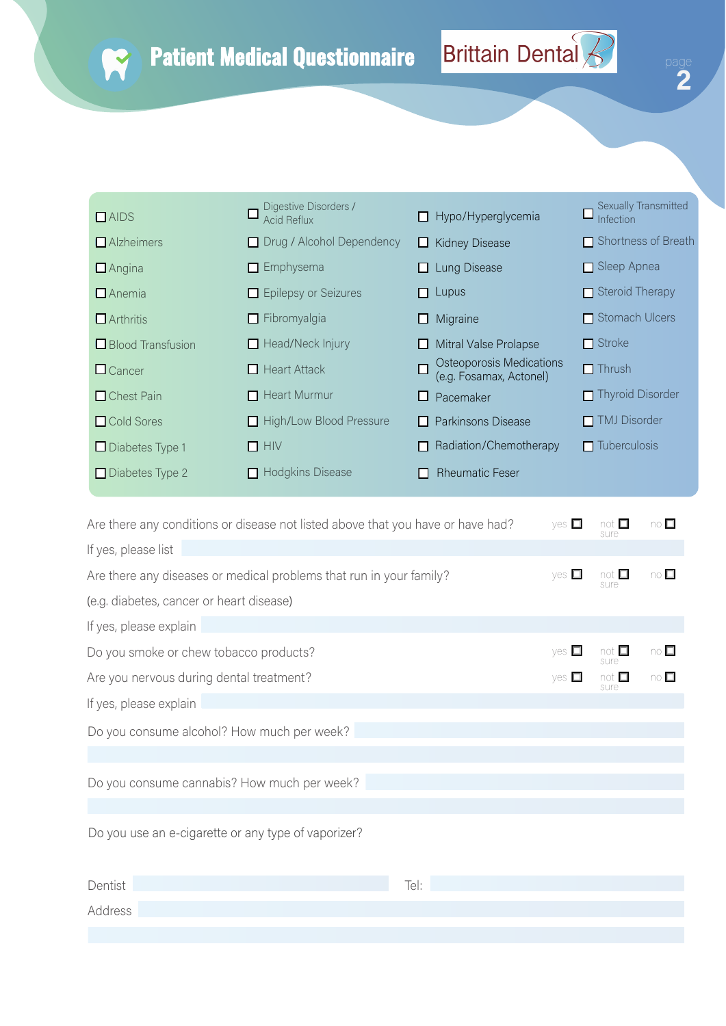R

 $\ddot{\mathbf{2}}$ 

| $\Box$ AIDS              | Digestive Disorders /<br><b>Acid Reflux</b> | Hypo/Hyperglycemia<br>H                             | Sexually Transmitted<br>Infection |
|--------------------------|---------------------------------------------|-----------------------------------------------------|-----------------------------------|
| $\Box$ Alzheimers        | Drug / Alcohol Dependency                   | <b>Kidney Disease</b><br>ப                          | $\Box$ Shortness of Breath        |
| $\Box$ Angina            | $\Box$ Emphysema                            | Lung Disease                                        | $\Box$ Sleep Apnea                |
| $\Box$ Anemia            | Epilepsy or Seizures                        | Lupus<br>П                                          | $\Box$ Steroid Therapy            |
| $\Box$ Arthritis         | $\Box$ Fibromyalgia                         | Migraine<br>ப                                       | Stomach Ulcers                    |
| $\Box$ Blood Transfusion | $\Box$ Head/Neck Injury                     | Mitral Valse Prolapse<br>ப                          | $\blacksquare$ Stroke             |
| $\Box$ Cancer            | $\Box$ Heart Attack                         | Osteoporosis Medications<br>(e.g. Fosamax, Actonel) | $\Box$ Thrush                     |
| $\Box$ Chest Pain        | $\Box$ Heart Murmur                         | Pacemaker                                           | $\blacksquare$ Thyroid Disorder   |
| □ Cold Sores             | High/Low Blood Pressure                     | Parkinsons Disease<br>l 1                           | TMJ Disorder                      |
| $\Box$ Diabetes Type 1   | $\Box$ HIV                                  | Radiation/Chemotherapy                              | $\Box$ Tuberculosis               |
| $\Box$ Diabetes Type 2   | <b>Hodgkins Disease</b>                     | <b>Rheumatic Feser</b>                              |                                   |

| Are there any conditions or disease not listed above that you have or have had? | $ves$ $\square$ | not $\square$<br>sure | $\overline{10}$                                  |
|---------------------------------------------------------------------------------|-----------------|-----------------------|--------------------------------------------------|
| If yes, please list                                                             |                 |                       |                                                  |
| Are there any diseases or medical problems that run in your family?             | yes $\square$   | not $\square$<br>sure | $\circ$ $\Box$                                   |
| (e.g. diabetes, cancer or heart disease)                                        |                 |                       |                                                  |
| If yes, please explain                                                          |                 |                       |                                                  |
| Do you smoke or chew tobacco products?                                          | $yes$ $\Box$    | not $\square$<br>sure | $\overline{\mathsf{no}}$ $\overline{\mathsf{m}}$ |
| Are you nervous during dental treatment?                                        |                 | not $\square$<br>sure | $\circ$ $\Box$                                   |
| If yes, please explain                                                          |                 |                       |                                                  |
| Do you consume alcohol? How much per week?                                      |                 |                       |                                                  |
|                                                                                 |                 |                       |                                                  |
| Do you consume cannabis? How much per week?                                     |                 |                       |                                                  |
|                                                                                 |                 |                       |                                                  |
| Do you use an e-cigarette or any type of vaporizer?                             |                 |                       |                                                  |
| Dentist<br>Tel:                                                                 |                 |                       |                                                  |

Address